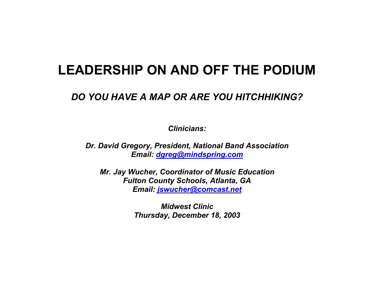### **LEADERSHIP ON AND OFF THE PODIUM**

### *DO YOU HAVE A MAP OR ARE YOU HITCHHIKING?*

*Clinicians:* 

*Dr. David Gregory, President, National Band Association Email: dgreg@mindspring.com*

*Mr. Jay Wucher, Coordinator of Music Education Fulton County Schools, Atlanta, GA Email: jswucher@comcast.net*

> *Midwest Clinic Thursday, December 18, 2003*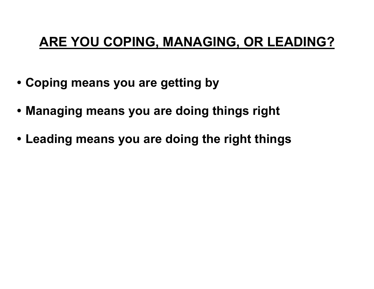## **ARE YOU COPING, MANAGING, OR LEADING?**

- **Coping means you are getting by**
- **Managing means you are doing things right**
- **Leading means you are doing the right things**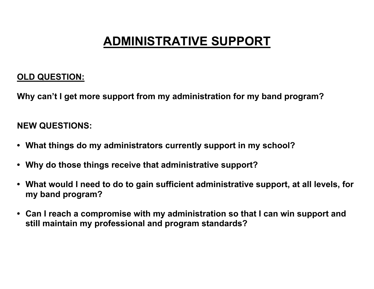## **ADMINISTRATIVE SUPPORT**

### **OLD QUESTION:**

**Why can't I get more support from my administration for my band program?** 

- **What things do my administrators currently support in my school?**
- **Why do those things receive that administrative support?**
- **What would I need to do to gain sufficient administrative support, at all levels, for my band program?**
- **Can I reach a compromise with my administration so that I can win support and still maintain my professional and program standards?**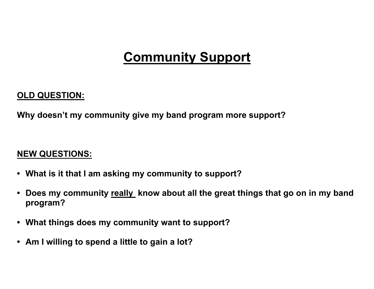## **Community Support**

### **OLD QUESTION:**

**Why doesn't my community give my band program more support?** 

- **What is it that I am asking my community to support?**
- **Does my community really know about all the great things that go on in my band program?**
- **What things does my community want to support?**
- **Am I willing to spend a little to gain a lot?**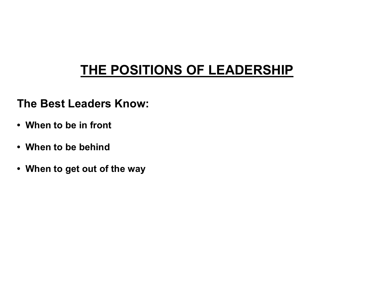# **THE POSITIONS OF LEADERSHIP**

### **The Best Leaders Know:**

- **When to be in front**
- **When to be behind**
- **When to get out of the way**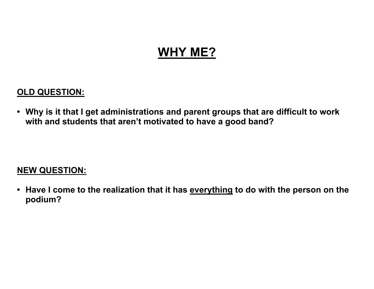### **WHY ME?**

### **OLD QUESTION:**

**• Why is it that I get administrations and parent groups that are difficult to work with and students that aren't motivated to have a good band?** 

### **NEW QUESTION:**

**• Have I come to the realization that it has everything to do with the person on the podium?**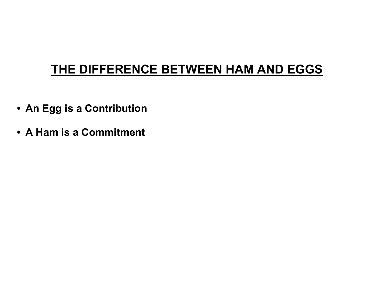### **THE DIFFERENCE BETWEEN HAM AND EGGS**

- **An Egg is a Contribution**
- **A Ham is a Commitment**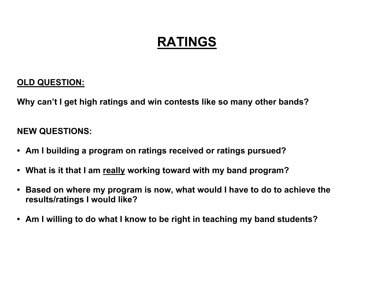# **RATINGS**

### **OLD QUESTION:**

**Why can't I get high ratings and win contests like so many other bands?** 

- **Am I building a program on ratings received or ratings pursued?**
- **What is it that I am really working toward with my band program?**
- **Based on where my program is now, what would I have to do to achieve the results/ratings I would like?**
- **Am I willing to do what I know to be right in teaching my band students?**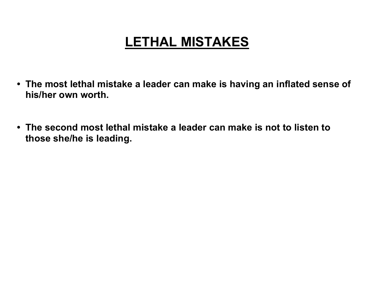## **LETHAL MISTAKES**

- **The most lethal mistake a leader can make is having an inflated sense of his/her own worth.**
- **The second most lethal mistake a leader can make is not to listen to those she/he is leading.**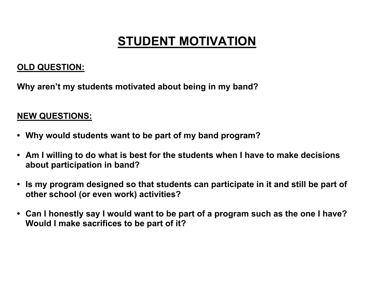## **STUDENT MOTIVATION**

### **OLD QUESTION:**

**Why aren't my students motivated about being in my band?** 

- **Why would students want to be part of my band program?**
- **Am I willing to do what is best for the students when I have to make decisions about participation in band?**
- **Is my program designed so that students can participate in it and still be part of other school (or even work) activities?**
- **Can I honestly say I would want to be part of a program such as the one I have? Would I make sacrifices to be part of it?**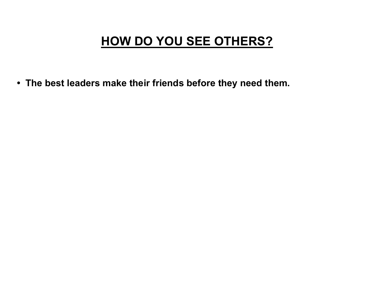## **HOW DO YOU SEE OTHERS?**

**• The best leaders make their friends before they need them.**